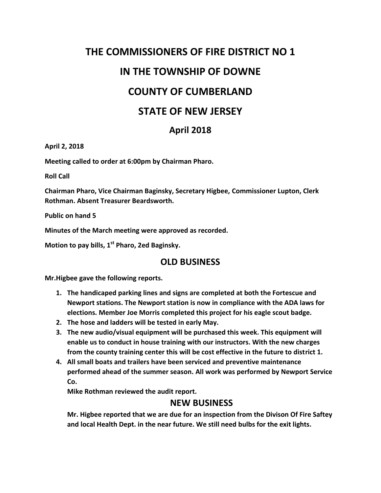# **THE COMMISSIONERS OF FIRE DISTRICT NO 1 IN THE TOWNSHIP OF DOWNE COUNTY OF CUMBERLAND STATE OF NEW JERSEY**

## **April 2018**

**April 2, 2018**

**Meeting called to order at 6:00pm by Chairman Pharo.**

**Roll Call**

**Chairman Pharo, Vice Chairman Baginsky, Secretary Higbee, Commissioner Lupton, Clerk Rothman. Absent Treasurer Beardsworth.**

**Public on hand 5**

**Minutes of the March meeting were approved as recorded.**

**Motion to pay bills, 1st Pharo, 2ed Baginsky.**

### **OLD BUSINESS**

**Mr.Higbee gave the following reports.**

- **1. The handicaped parking lines and signs are completed at both the Fortescue and Newport stations. The Newport station is now in compliance with the ADA laws for elections. Member Joe Morris completed this project for his eagle scout badge.**
- **2. The hose and ladders will be tested in early May.**
- **3. The new audio/visual equipment will be purchased this week. This equipment will enable us to conduct in house training with our instructors. With the new charges from the county training center this will be cost effective in the future to district 1.**
- **4. All small boats and trailers have been serviced and preventive maintenance performed ahead of the summer season. All work was performed by Newport Service Co.**

**Mike Rothman reviewed the audit report.**

#### **NEW BUSINESS**

**Mr. Higbee reported that we are due for an inspection from the Divison Of Fire Saftey and local Health Dept. in the near future. We still need bulbs for the exit lights.**